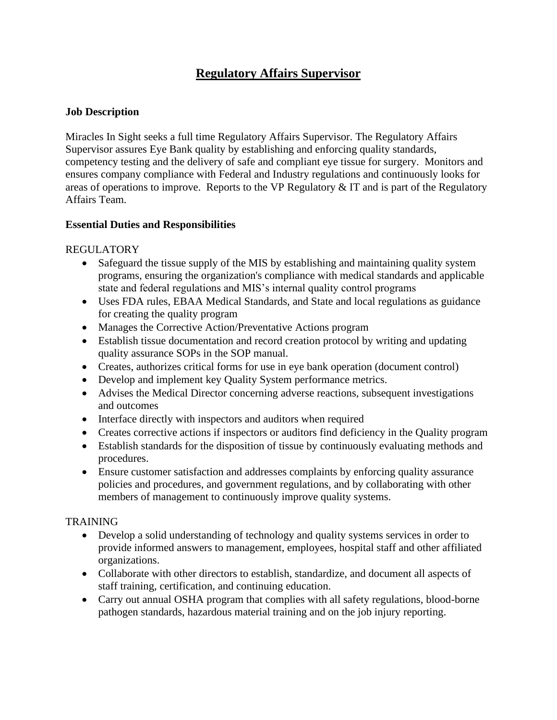# **Regulatory Affairs Supervisor**

#### **Job Description**

Miracles In Sight seeks a full time Regulatory Affairs Supervisor. The Regulatory Affairs Supervisor assures Eye Bank quality by establishing and enforcing quality standards, competency testing and the delivery of safe and compliant eye tissue for surgery. Monitors and ensures company compliance with Federal and Industry regulations and continuously looks for areas of operations to improve. Reports to the VP Regulatory & IT and is part of the Regulatory Affairs Team.

#### **Essential Duties and Responsibilities**

# REGULATORY

- Safeguard the tissue supply of the MIS by establishing and maintaining quality system programs, ensuring the organization's compliance with medical standards and applicable state and federal regulations and MIS's internal quality control programs
- Uses FDA rules, EBAA Medical Standards, and State and local regulations as guidance for creating the quality program
- Manages the Corrective Action/Preventative Actions program
- Establish tissue documentation and record creation protocol by writing and updating quality assurance SOPs in the SOP manual.
- Creates, authorizes critical forms for use in eye bank operation (document control)
- Develop and implement key Quality System performance metrics.
- Advises the Medical Director concerning adverse reactions, subsequent investigations and outcomes
- Interface directly with inspectors and auditors when required
- Creates corrective actions if inspectors or auditors find deficiency in the Quality program
- Establish standards for the disposition of tissue by continuously evaluating methods and procedures.
- Ensure customer satisfaction and addresses complaints by enforcing quality assurance policies and procedures, and government regulations, and by collaborating with other members of management to continuously improve quality systems.

# TRAINING

- Develop a solid understanding of technology and quality systems services in order to provide informed answers to management, employees, hospital staff and other affiliated organizations.
- Collaborate with other directors to establish, standardize, and document all aspects of staff training, certification, and continuing education.
- Carry out annual OSHA program that complies with all safety regulations, blood-borne pathogen standards, hazardous material training and on the job injury reporting.